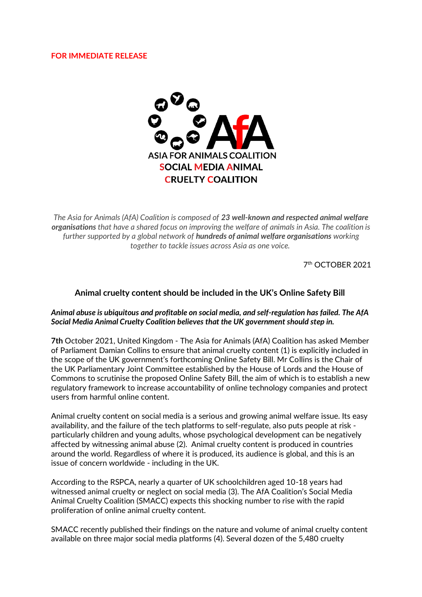## **FOR IMMEDIATE RELEASE**



*The Asia for Animals (AfA) Coalition is composed of 23 well-known and respected animal welfare organisations that have a shared focus on improving the welfare of animals in Asia. The coalition is further supported by a global network of hundreds of animal welfare organisations working together to tackle issues across Asia as one voice.*

7th OCTOBER 2021

## **Animal cruelty content should be included in the UK's Online Safety Bill**

## *Animal abuse is ubiquitous and profitable on social media, and self-regulation has failed. The AfA Social Media Animal Cruelty Coalition believes that the UK government should step in.*

**7th** October 2021, United Kingdom - The Asia for Animals (AfA) Coalition has asked Member of Parliament Damian Collins to ensure that animal cruelty content (1) is explicitly included in the scope of the UK government's forthcoming Online Safety Bill. Mr Collins is the Chair of the UK Parliamentary Joint Committee established by the House of Lords and the House of Commons to scrutinise the proposed Online Safety Bill, the aim of which is to establish a new regulatory framework to increase accountability of online technology companies and protect users from harmful online content.

Animal cruelty content on social media is a serious and growing animal welfare issue. Its easy availability, and the failure of the tech platforms to self-regulate, also puts people at risk particularly children and young adults, whose psychological development can be negatively affected by witnessing animal abuse (2). Animal cruelty content is produced in countries around the world. Regardless of where it is produced, its audience is global, and this is an issue of concern worldwide - including in the UK.

According to the RSPCA, nearly a quarter of UK schoolchildren aged 10-18 years had witnessed animal cruelty or neglect on social media (3). The AfA Coalition's Social Media Animal Cruelty Coalition (SMACC) expects this shocking number to rise with the rapid proliferation of online animal cruelty content.

SMACC recently published their findings on the nature and volume of animal cruelty content available on three major social media platforms (4). Several dozen of the 5,480 cruelty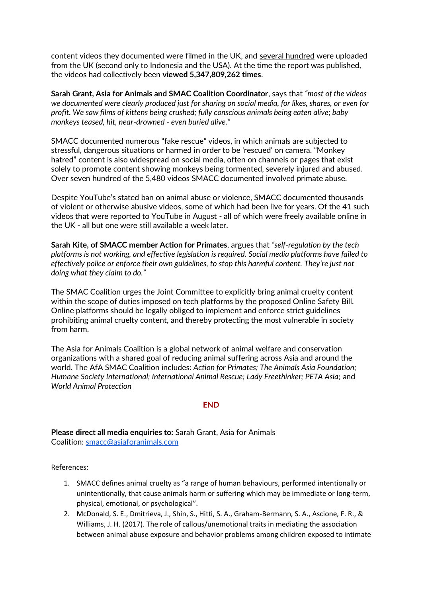content videos they documented were filmed in the UK, and several hundred were uploaded from the UK (second only to Indonesia and the USA). At the time the report was published, the videos had collectively been **viewed 5,347,809,262 times**.

**Sarah Grant, Asia for Animals and SMAC Coalition Coordinator**, says that *"most of the videos we documented were clearly produced just for sharing on social media, for likes, shares, or even for profit. We saw films of kittens being crushed; fully conscious animals being eaten alive; baby monkeys teased, hit, near-drowned - even buried alive."*

SMACC documented numerous "fake rescue" videos, in which animals are subjected to stressful, dangerous situations or harmed in order to be 'rescued' on camera. "Monkey hatred" content is also widespread on social media, often on channels or pages that exist solely to promote content showing monkeys being tormented, severely injured and abused. Over seven hundred of the 5,480 videos SMACC documented involved primate abuse.

Despite YouTube's stated ban on animal abuse or violence, SMACC documented thousands of violent or otherwise abusive videos, some of which had been live for years. Of the 41 such videos that were reported to YouTube in August - all of which were freely available online in the UK - all but one were still available a week later.

**Sarah Kite, of SMACC member Action for Primates**, argues that *"self-regulation by the tech platforms is not working, and effective legislation is required. Social media platforms have failed to effectively police or enforce their own guidelines, to stop this harmful content. They're just not doing what they claim to do."*

The SMAC Coalition urges the Joint Committee to explicitly bring animal cruelty content within the scope of duties imposed on tech platforms by the proposed Online Safety Bill. Online platforms should be legally obliged to implement and enforce strict guidelines prohibiting animal cruelty content, and thereby protecting the most vulnerable in society from harm.

The Asia for Animals Coalition is a global network of animal welfare and conservation organizations with a shared goal of reducing animal suffering across Asia and around the world. The AfA SMAC Coalition includes: *Action for Primates; The Animals Asia Foundation; Humane Society International; International Animal Rescue; Lady Freethinker; PETA Asia;* and *World Animal Protection*

## **END**

**Please direct all media enquiries to:** Sarah Grant, Asia for Animals Coalition: [smacc@asiaforanimals.com](mailto:smacc@asiaforanimals.com)

References:

- 1. SMACC defines animal cruelty as "a range of human behaviours, performed intentionally or unintentionally, that cause animals harm or suffering which may be immediate or long-term, physical, emotional, or psychological".
- 2. McDonald, S. E., Dmitrieva, J., Shin, S., Hitti, S. A., Graham-Bermann, S. A., Ascione, F. R., & Williams, J. H. (2017). The role of callous/unemotional traits in mediating the association between animal abuse exposure and behavior problems among children exposed to intimate